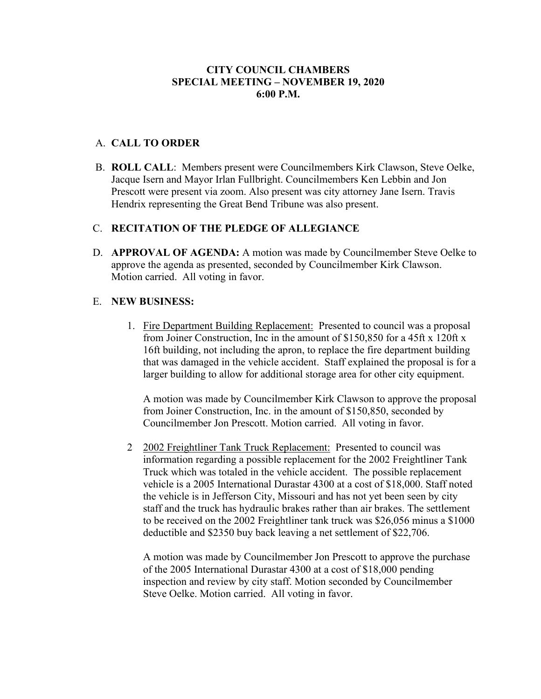## **CITY COUNCIL CHAMBERS SPECIAL MEETING – NOVEMBER 19, 2020 6:00 P.M.**

## A. **CALL TO ORDER**

B. **ROLL CALL**: Members present were Councilmembers Kirk Clawson, Steve Oelke, Jacque Isern and Mayor Irlan Fullbright. Councilmembers Ken Lebbin and Jon Prescott were present via zoom. Also present was city attorney Jane Isern. Travis Hendrix representing the Great Bend Tribune was also present.

## C. **RECITATION OF THE PLEDGE OF ALLEGIANCE**

D. **APPROVAL OF AGENDA:** A motion was made by Councilmember Steve Oelke to approve the agenda as presented, seconded by Councilmember Kirk Clawson. Motion carried. All voting in favor.

### E. **NEW BUSINESS:**

1. Fire Department Building Replacement: Presented to council was a proposal from Joiner Construction, Inc in the amount of \$150,850 for a 45ft x 120ft x 16ft building, not including the apron, to replace the fire department building that was damaged in the vehicle accident. Staff explained the proposal is for a larger building to allow for additional storage area for other city equipment.

A motion was made by Councilmember Kirk Clawson to approve the proposal from Joiner Construction, Inc. in the amount of \$150,850, seconded by Councilmember Jon Prescott. Motion carried. All voting in favor.

2 2002 Freightliner Tank Truck Replacement: Presented to council was information regarding a possible replacement for the 2002 Freightliner Tank Truck which was totaled in the vehicle accident. The possible replacement vehicle is a 2005 International Durastar 4300 at a cost of \$18,000. Staff noted the vehicle is in Jefferson City, Missouri and has not yet been seen by city staff and the truck has hydraulic brakes rather than air brakes. The settlement to be received on the 2002 Freightliner tank truck was \$26,056 minus a \$1000 deductible and \$2350 buy back leaving a net settlement of \$22,706.

A motion was made by Councilmember Jon Prescott to approve the purchase of the 2005 International Durastar 4300 at a cost of \$18,000 pending inspection and review by city staff. Motion seconded by Councilmember Steve Oelke. Motion carried. All voting in favor.